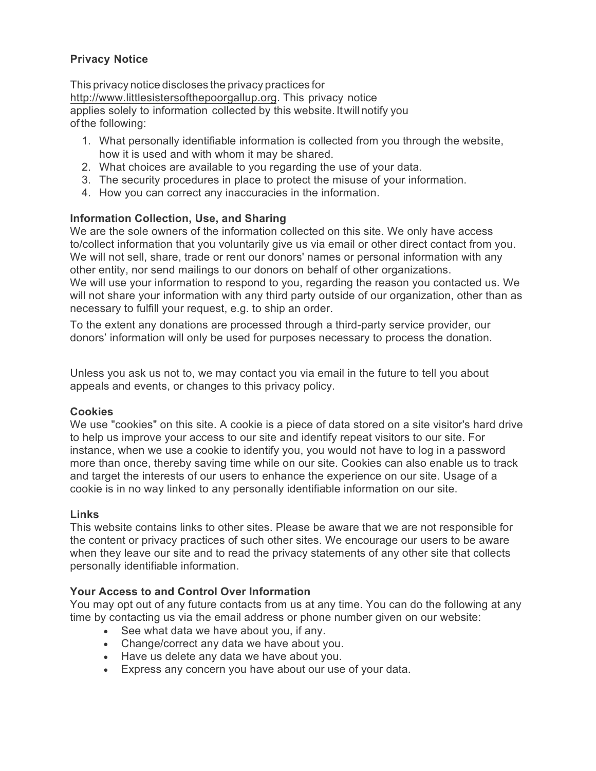# **Privacy Notice**

This privacy notice discloses the privacy practices for http://www.littlesistersofthepoorgallup.org. This privacy notice applies solely to information collected by this website. Itwill notify you ofthe following:

- 1. What personally identifiable information is collected from you through the website, how it is used and with whom it may be shared.
- 2. What choices are available to you regarding the use of your data.
- 3. The security procedures in place to protect the misuse of your information.
- 4. How you can correct any inaccuracies in the information.

## **Information Collection, Use, and Sharing**

We are the sole owners of the information collected on this site. We only have access to/collect information that you voluntarily give us via email or other direct contact from you. We will not sell, share, trade or rent our donors' names or personal information with any other entity, nor send mailings to our donors on behalf of other organizations. We will use your information to respond to you, regarding the reason you contacted us. We will not share your information with any third party outside of our organization, other than as necessary to fulfill your request, e.g. to ship an order.

To the extent any donations are processed through a third-party service provider, our donors' information will only be used for purposes necessary to process the donation.

Unless you ask us not to, we may contact you via email in the future to tell you about appeals and events, or changes to this privacy policy.

### **Cookies**

We use "cookies" on this site. A cookie is a piece of data stored on a site visitor's hard drive to help us improve your access to our site and identify repeat visitors to our site. For instance, when we use a cookie to identify you, you would not have to log in a password more than once, thereby saving time while on our site. Cookies can also enable us to track and target the interests of our users to enhance the experience on our site. Usage of a cookie is in no way linked to any personally identifiable information on our site.

### **Links**

This website contains links to other sites. Please be aware that we are not responsible for the content or privacy practices of such other sites. We encourage our users to be aware when they leave our site and to read the privacy statements of any other site that collects personally identifiable information.

### **Your Access to and Control Over Information**

You may opt out of any future contacts from us at any time. You can do the following at any time by contacting us via the email address or phone number given on our website:

- See what data we have about you, if any.
- Change/correct any data we have about you.
- Have us delete any data we have about you.
- Express any concern you have about our use of your data.